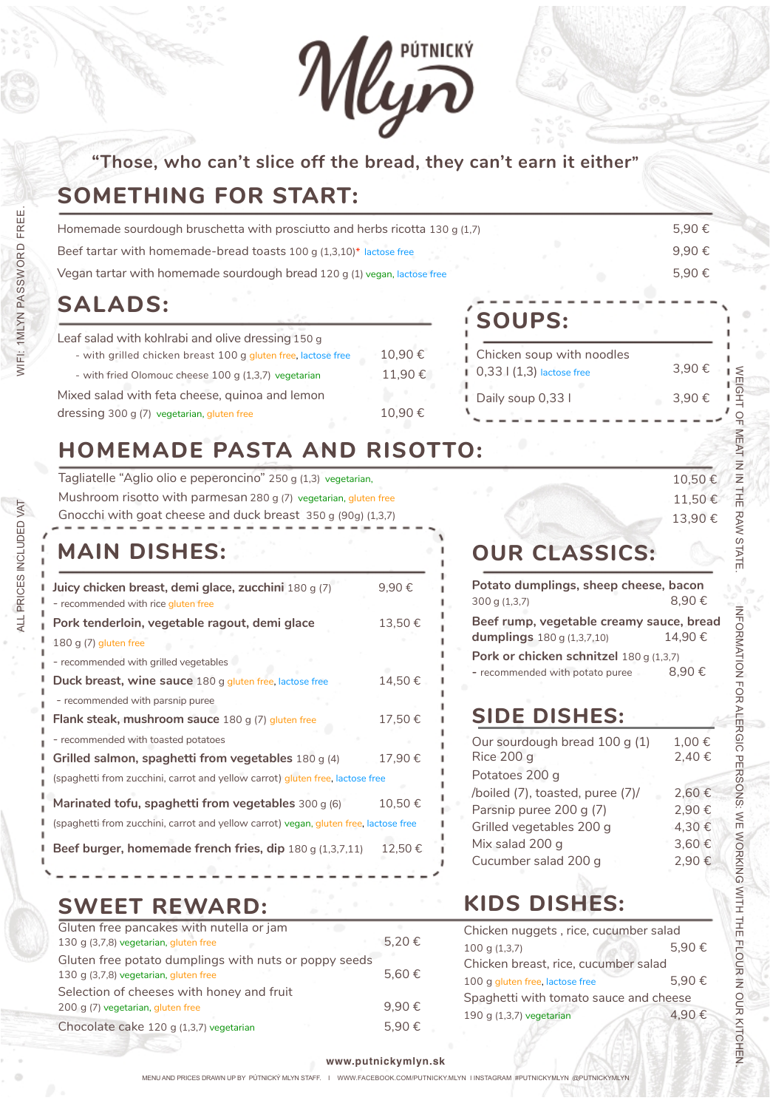

### **"Those, who can't slice off the bread, they can't earn it either"**

# **SOMETHING FOR START:**

| Homemade sourdough bruschetta with prosciutto and herbs ricotta 130 g (1,7) | 5.90€ |
|-----------------------------------------------------------------------------|-------|
| Beef tartar with homemade-bread toasts 100 g (1,3,10)* lactose free         | 9.90€ |
| Vegan tartar with homemade sourdough bread 120 g (1) vegan, lactose free    | 5.90€ |

# **SALADS:**

| Leaf salad with kohlrabi and olive dressing 150 g             |        |
|---------------------------------------------------------------|--------|
| - with grilled chicken breast 100 g gluten free, lactose free | 10,90€ |
| - with fried Olomouc cheese 100 g (1,3,7) vegetarian          | 11.90€ |
| Mixed salad with feta cheese, quinoa and lemon                |        |
| dressing 300 g (7) vegetarian, gluten free                    | 10.90€ |

# **SOUPS:**

| Chicken soup with noodles             |        |
|---------------------------------------|--------|
| $\Box$ 0,33 $\Box$ (1,3) lactose free | 3.90 € |
| Daily soup 0,33 l                     | 3.90 € |
|                                       |        |

# **HOMEMADE PASTA AND RISOTTO:**

Tagliatelle "Aglio olio e peperoncino" 250 g (1,3) vegetarian, Mushroom risotto with parmesan 280 g (7) vegetarian, gluten free Gnocchi with goat cheese and duck breast 350 g (90g) (1,3,7)

# **MAIN DISHES:**

| Juicy chicken breast, demi glace, zucchini 180 g (7)<br>- recommended with rice gluten free | 9,90€  |
|---------------------------------------------------------------------------------------------|--------|
| Pork tenderloin, vegetable ragout, demi glace                                               | 13,50€ |
| 180 g $(7)$ gluten free                                                                     |        |
| - recommended with grilled vegetables                                                       |        |
| <b>Duck breast, wine sauce</b> 180 g gluten free, lactose free                              | 14,50€ |
| - recommended with parsnip puree                                                            |        |
| <b>Flank steak, mushroom sauce</b> 180 g (7) gluten free                                    | 17,50€ |
| - recommended with toasted potatoes                                                         |        |
| Grilled salmon, spaghetti from vegetables $180 g(4)$                                        | 17.90€ |
| (spaghetti from zucchini, carrot and yellow carrot) gluten free, lactose free               |        |
| Marinated tofu, spaghetti from vegetables $300 g(6)$                                        | 10,50€ |
| (spaghetti from zucchini, carrot and yellow carrot) vegan, gluten free, lactose free        |        |
| Beef burger, homemade french fries, dip $180 \text{ g}$ (1,3,7,11)                          | 12.50€ |

# **SWEET REWARD:**

| Gluten free pancakes with nutella or jam              |            |
|-------------------------------------------------------|------------|
| 130 g (3,7,8) vegetarian, gluten free                 | $5.20 \in$ |
| Gluten free potato dumplings with nuts or poppy seeds |            |
| 130 g (3,7,8) vegetarian, gluten free                 | 5.60 €     |
| Selection of cheeses with honey and fruit             |            |
| 200 g (7) vegetarian, gluten free                     | 9.90€      |
| Chocolate cake 120 g (1,3,7) vegetarian               | 5.90€      |

# **OUR CLASSICS:**

| Potato dumplings, sheep cheese, bacon    |        |  |  |
|------------------------------------------|--------|--|--|
| 300 g (1,3,7)                            | 8,90€  |  |  |
| Beef rump, vegetable creamy sauce, bread |        |  |  |
| dumplings $180g(1,3,7,10)$               | 14.90€ |  |  |
| Pork or chicken schnitzel 180 g (1,3,7)  |        |  |  |
| - recommended with potato puree          | 8.90€  |  |  |
|                                          |        |  |  |

# **SIDE DISHES:**

| Our sourdough bread 100 g (1)    | 1,00€ |
|----------------------------------|-------|
| <b>Rice 200 g</b>                | 2,40€ |
| Potatoes 200 g                   |       |
| /boiled (7), toasted, puree (7)/ | 2,60€ |
| Parsnip puree 200 g (7)          | 2,90€ |
| Grilled vegetables 200 g         | 4,30€ |
| Mix salad 200 g                  | 3,60€ |
| Cucumber salad 200 g             | 2,90€ |
|                                  |       |

# **KIDS DISHES:**

| Chicken nuggets, rice, cucumber salad  |       |  |
|----------------------------------------|-------|--|
| 100q(1,3,7)                            | 5.90€ |  |
| Chicken breast, rice, cucumber salad   |       |  |
| 100 g gluten free, lactose free        | 5.90€ |  |
| Spaghetti with tomato sauce and cheese |       |  |
| 190 g (1,3,7) vegetarian               | 4.90€ |  |
|                                        |       |  |

VEIGHT OF NI NI 10,50 € THE RAW STATE 11,50 € 13,90 €

WEIGHT OF MEAT IN IN THE RAW STATE.

INFORMATION FOR ALERGIC PERSONS: WE WORKING WITH THE FLOUR IN OUR KITCHEN.

INFORMATION FOR AFERGIC PERSONS: WE WORKING WITH THE FLOUR IN OUR KITCHEN

ALL PRICES INCLUDED VAT

ALL PRICES INCLUDED VAT

### **www.putnickymlyn.sk**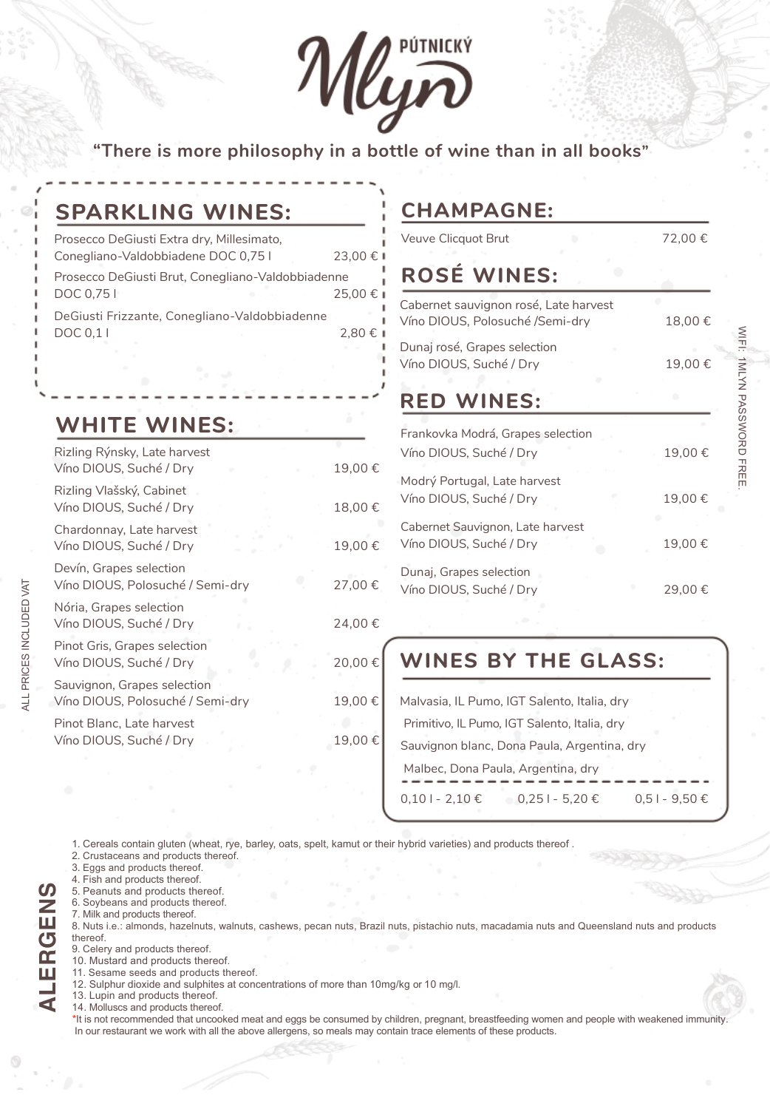Mlym

**"There is more philosophy in a bottle of wine than in all books"**

# **SPARKLING WINES:**

| Prosecco DeGiusti Extra dry, Millesimato,         |           |  |
|---------------------------------------------------|-----------|--|
| Conegliano-Valdobbiadene DOC 0,751                | 23,00 € 1 |  |
| Prosecco DeGiusti Brut, Conegliano-Valdobbiadenne |           |  |
| DOC 0,75                                          | 25,00 € ∎ |  |
| DeGiusti Frizzante, Conegliano-Valdobbiadenne     |           |  |
| DOC 0,11                                          | 2.80 € ∎  |  |
|                                                   |           |  |

**WHITE WINES:**

| Rizling Rýnsky, Late harvest<br>Víno DIOUS, Suché / Dry         | 19,00€ |
|-----------------------------------------------------------------|--------|
| Rizling Vlašský, Cabinet<br>Víno DIOUS, Suché / Dry             | 18,00€ |
| Chardonnay, Late harvest<br>Víno DIOUS, Suché / Dry             | 19,00€ |
| Devín, Grapes selection<br>Víno DIOUS, Polosuché / Semi-dry     | 27,00€ |
| Nória, Grapes selection<br>Víno DIOUS, Suché / Dry              | 24,00€ |
| Pinot Gris, Grapes selection<br>Víno DIOUS, Suché / Dry         | 20,00€ |
| Sauvignon, Grapes selection<br>Víno DIOUS, Polosuché / Semi-dry | 19,00€ |
| Pinot Blanc, Late harvest<br>Víno DIOUS, Suché / Dry            | 19,00€ |
|                                                                 |        |

# **CHAMPAGNE:**

Veuve Clicquot Brut 72,00 €

WIFI:

N<br>NATIMI

PASSWORD FREE.

# **ROSÉ WINES:**

| Cabernet sauvignon rosé, Late harvest<br>Víno DIOUS, Polosuché /Semi-dry |  | 18.00€ |
|--------------------------------------------------------------------------|--|--------|
| Dunaj rosé, Grapes selection<br>Víno DIOUS, Suché / Dry                  |  | 19,00€ |
| <b>RED WINES:</b>                                                        |  |        |
| Frankovka Modrá, Grapes selection                                        |  |        |
| Víno DIOUS, Suché / Dry                                                  |  | 19,00€ |
| Modrý Portugal, Late harvest                                             |  |        |
| Víno DIOUS, Suché / Dry                                                  |  | 19,00€ |
| Cabernet Sauvignon, Late harvest                                         |  |        |
| Víno DIOUS, Suché / Dry                                                  |  | 19,00€ |
| Dunaj, Grapes selection                                                  |  |        |
| Víno DIOUS, Suché / Dry                                                  |  | 29,00€ |

# **WINES BY THE GLASS:**

|                 | Malvasia, IL Pumo, IGT Salento, Italia, dry  |                   |
|-----------------|----------------------------------------------|-------------------|
|                 | Primitivo, IL Pumo, IGT Salento, Italia, dry |                   |
|                 | Sauvignon blanc, Dona Paula, Argentina, dry  |                   |
|                 | Malbec, Dona Paula, Argentina, dry           |                   |
| $0,101 - 2,10€$ | $0,251 - 5,20 \in$                           | $0.51 - 9.50 \in$ |

1. Cereals contain gluten (wheat, rye, barley, oats, spelt, kamut or their hybrid varieties) and products thereof .

2. Crustaceans and products thereof.

3. Eggs and products thereof.

4. Fish and products thereof.

5. Peanuts and products thereof.

6. Soybeans and products thereof.

7. Milk and products thereof.

8. Nuts i.e.: almonds, hazelnuts, walnuts, cashews, pecan nuts, Brazil nuts, pistachio nuts, macadamia nuts and Queensland nuts and products thereof.

9. Celery and products thereof.

10. Mustard and products thereof.

- 11. Sesame seeds and products thereof.
- 12. Sulphur dioxide and sulphites at concentrations of more than 10mg/kg or 10 mg/l.

13. Lupin and products thereof.

14. Molluscs and products thereof.

\* It is not recommended that uncooked meat and eggs be consumed by children, pregnant, breastfeeding women and people with weakened immunity. In our restaurant we work with all the above allergens, so meals may contain trace elements of these products.

**ALERGENS**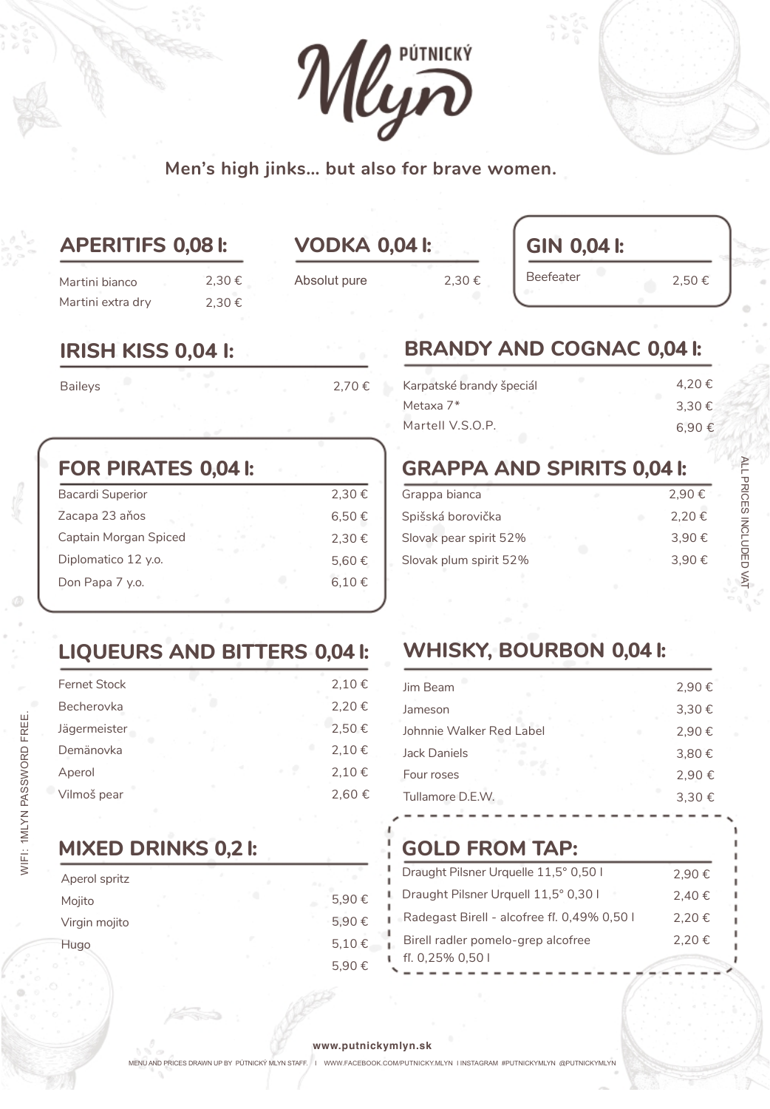

**Men's high jinks… but also for brave women.**

# **APERITIFS 0,08 l: VODKA 0,04 l:**

2,30 € 2,30 € 2,30 €

**GIN 0,04 l:** Beefeater 2,50  $\epsilon$ 

# **IRISH KISS 0,04 l:**

Martini bianco Martini extra dry

Baileys 2,70 €

Absolut pure

| <b>Bacardi Superior</b> | 2,30€      |
|-------------------------|------------|
| Zacapa 23 años          | $6,50 \in$ |
| Captain Morgan Spiced   | 2.30€      |
| Diplomatico 12 y.o.     | 5,60 €     |
| Don Papa 7 y.o.         | 6,10€      |

# **BRANDY AND COGNAC 0,04 l:**

| Karpatské brandy špeciál | 4.20€ |
|--------------------------|-------|
| Metaxa 7*                | 3.30€ |
| Martell V.S.O.P.         | 6.90€ |

# **FOR PIRATES 0,04 l: GRAPPA AND SPIRITS 0,04 l:**

| Grappa bianca          | 2.90€ |
|------------------------|-------|
| Spišská borovička      | 2.20€ |
| Slovak pear spirit 52% | 3.90€ |
| Slovak plum spirit 52% | 3.90€ |
|                        |       |

# **LIQUEURS AND BITTERS 0,04 l: WHISKY, BOURBON 0,04 l:**

| <b>Fernet Stock</b> | 2,10€ |
|---------------------|-------|
| Becherovka          | 2,20€ |
| Jägermeister        | 2,50€ |
| Demänovka           | 2,10€ |
| Aperol              | 2,10€ |
| Vilmoš pear         | 2,60€ |

# **MIXED DRINKS 0,2 l:**

| Aperol spritz |  |       |
|---------------|--|-------|
| Mojito        |  | 5,90€ |
| Virgin mojito |  | 5,90€ |
| Hugo          |  | 5,10€ |
|               |  | 5,90€ |

| Jim Beam                 | 2,90€ |
|--------------------------|-------|
| Jameson                  | 3,30€ |
| Johnnie Walker Red Label | 2,90€ |
| Jack Daniels             | 3,80€ |
| Four roses               | 2,90€ |
| Tullamore D.E.W.         | 3,30€ |
|                          |       |

# **GOLD FROM TAP:**

| Draught Pilsner Urquelle 11,5° 0,50 l       | 2.90€ |
|---------------------------------------------|-------|
| Draught Pilsner Urquell 11,5° 0,30 l        | 2.40€ |
| Radegast Birell - alcofree fl. 0,49% 0,50 l | 2.20€ |
| Birell radler pomelo-grep alcofree          | 2,20€ |
| fl. $0,25\%$ $0,501$                        |       |

### **www.putnickymlyn.sk**

MENU AND PRICES DRAWN UP BY PÚTNICKÝ MLYN STAFF. I WWW.FACEBOOK.COM/PUTNICKY.MLYN I INSTAGRAM #PUTNICKYMLYN @PUTNICKYMLYN